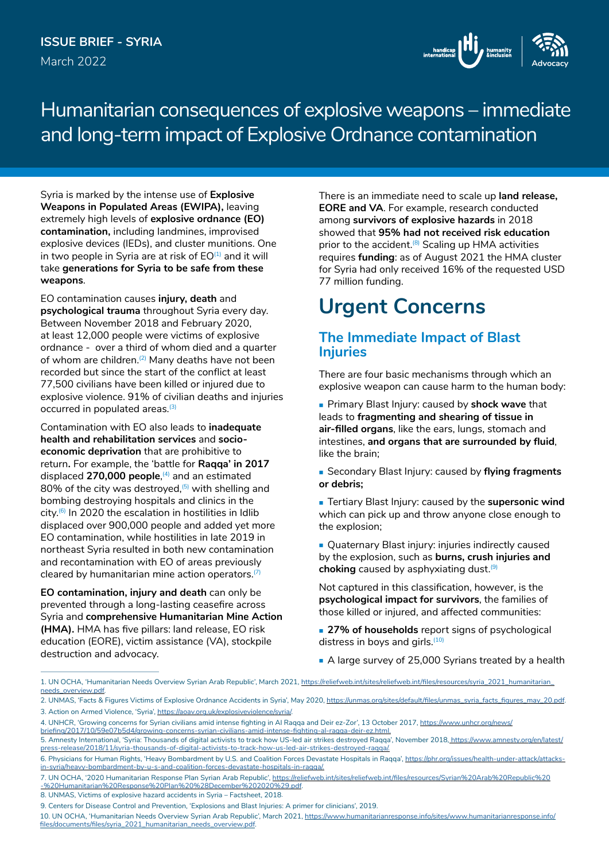

Humanitarian consequences of explosive weapons – immediate and long-term impact of Explosive Ordnance contamination

Syria is marked by the intense use of **Explosive Weapons in Populated Areas (EWIPA),** leaving extremely high levels of **explosive ordnance (EO) contamination,** including landmines, improvised explosive devices (IEDs), and cluster munitions. One in two people in Syria are at risk of  $EO^{(1)}$  and it will take **generations for Syria to be safe from these weapons**.

EO contamination causes **injury, death** and **psychological trauma** throughout Syria every day. Between November 2018 and February 2020, at least 12,000 people were victims of explosive ordnance - over a third of whom died and a quarter of whom are children.<sup>(2)</sup> Many deaths have not been recorded but since the start of the conflict at least 77,500 civilians have been killed or injured due to explosive violence. 91% of civilian deaths and injuries occurred in populated areas.<sup>(3)</sup>

Contamination with EO also leads to **inadequate health and rehabilitation services** and **socioeconomic deprivation** that are prohibitive to return**.** For example, the 'battle for **Raqqa' in 2017** displaced **270,000 people**, (4) and an estimated 80% of the city was destroyed, $(5)$  with shelling and bombing destroying hospitals and clinics in the  $city$ .<sup>(6)</sup> In 2020 the escalation in hostilities in Idlib displaced over 900,000 people and added yet more EO contamination, while hostilities in late 2019 in northeast Syria resulted in both new contamination and recontamination with EO of areas previously cleared by humanitarian mine action operators.<sup>(7)</sup>

**EO contamination, injury and death** can only be prevented through a long-lasting ceasefire across Syria and **comprehensive Humanitarian Mine Action (HMA).** HMA has five pillars: land release, EO risk education (EORE), victim assistance (VA), stockpile destruction and advocacy.

There is an immediate need to scale up **land release, EORE and VA**. For example, research conducted among **survivors of explosive hazards** in 2018 showed that **95% had not received risk education** prior to the accident.<sup>(8)</sup> Scaling up HMA activities requires **funding**: as of August 2021 the HMA cluster for Syria had only received 16% of the requested USD 77 million funding.

# **Urgent Concerns**

## **The Immediate Impact of Blast Injuries**

There are four basic mechanisms through which an explosive weapon can cause harm to the human body:

 Primary Blast Injury: caused by **shock wave** that leads to **fragmenting and shearing of tissue in air-filled organs**, like the ears, lungs, stomach and intestines, **and organs that are surrounded by fluid**, like the brain;

 Secondary Blast Injury: caused by **flying fragments or debris;**

 Tertiary Blast Injury: caused by the **supersonic wind** which can pick up and throw anyone close enough to the explosion;

**Quaternary Blast injury: injuries indirectly caused** by the explosion, such as **burns, crush injuries and**  choking caused by asphyxiating dust.<sup>(9)</sup>

Not captured in this classification, however, is the **psychological impact for survivors**, the families of those killed or injured, and affected communities:

**27% of households** report signs of psychological distress in boys and girls.<sup>(10)</sup>

A large survey of 25,000 Syrians treated by a health

<sup>1.</sup> UN OCHA, 'Humanitarian Needs Overview Syrian Arab Republic', March 2021, [https://reliefweb.int/sites/reliefweb.int/files/resources/syria\\_2021\\_humanitarian\\_](https://reliefweb.int/sites/reliefweb.int/files/resources/syria_2021_humanitarian_needs_overview.pdf) [needs\\_overview.pdf](https://reliefweb.int/sites/reliefweb.int/files/resources/syria_2021_humanitarian_needs_overview.pdf).

<sup>2.</sup> UNMAS, 'Facts & Figures Victims of Explosive Ordnance Accidents in Syria', May 2020, [https://unmas.org/sites/default/files/unmas\\_syria\\_facts\\_figures\\_may\\_20.pdf](https://unmas.org/sites/default/files/unmas_syria_facts_figures_may_20.pdf). 3. Action on Armed Violence, 'Syria', https://aoav.org.uk/

<sup>4.</sup> UNHCR, 'Growing concerns for Syrian civilians amid intense fighting in Al Raqqa and Deir ez-Zor', 13 October 2017, [https://www.unhcr.org/news/](https://www.unhcr.org/news/briefing/2017/10/59e07b5d4/growing-concerns-syrian-civilians-amid-intense-fighting-al-raqqa-deir-ez.html)

[briefing/2017/10/59e07b5d4/growing-concerns-syrian-civilians-amid-intense-fighting-al-raqqa-deir-ez.html](https://www.unhcr.org/news/briefing/2017/10/59e07b5d4/growing-concerns-syrian-civilians-amid-intense-fighting-al-raqqa-deir-ez.html). 5. Amnesty International, 'Syria: Thousands of digital activists to track how US-led air strikes destroyed Raqqa', November 2018, https://www.amnesty.org/en/latest/

press-release/2018/11/syria-thousands-of-digital-activists-to-track-how-us-led-air-strikes-destroyed-raqqa/.

<sup>6.</sup> Physicians for Human Rights, 'Heavy Bombardment by U.S. and Coalition Forces Devastate Hospitals in Raqqa', [https://phr.org/issues/health-under-attack/attacks](https://phr.org/issues/health-under-attack/attacks-in-syria/heavy-bombardment-by-u-s-and-coalition-forces-devastate-hospitals-in-raqqa/)[in-syria/heavy-bombardment-by-u-s-and-coalition-forces-devastate-hospitals-in-raqqa/](https://phr.org/issues/health-under-attack/attacks-in-syria/heavy-bombardment-by-u-s-and-coalition-forces-devastate-hospitals-in-raqqa/).

<sup>7.</sup> UN OCHA, '2020 Humanitarian Response Plan Syrian Arab Republic', [https://reliefweb.int/sites/reliefweb.int/files/resources/Syrian%20Arab%20Republic%20](https://reliefweb.int/sites/reliefweb.int/files/resources/Syrian Arab Republic - Humanitarian Response Plan %28December 2020%29.pdf) [-%20Humanitarian%20Response%20Plan%20%28December%202020%29.pdf.](https://reliefweb.int/sites/reliefweb.int/files/resources/Syrian Arab Republic - Humanitarian Response Plan %28December 2020%29.pdf)

<sup>8.</sup> UNMAS, Victims of explosive hazard accidents in Syria – Factsheet, 2018.

<sup>9.</sup> Centers for Disease Control and Prevention, 'Explosions and Blast Injuries: A primer for clinicians', 2019.

<sup>10.</sup> UN OCHA, 'Humanitarian Needs Overview Syrian Arab Republic', March 2021, [https://www.humanitarianresponse.info/sites/www.humanitarianresponse.info/](https://www.humanitarianresponse.info/sites/www.humanitarianresponse.info/files/documents/files/syria_2021_humanitarian_needs_overview.pdf) [files/documents/files/syria\\_2021\\_humanitarian\\_needs\\_overview.pdf](https://www.humanitarianresponse.info/sites/www.humanitarianresponse.info/files/documents/files/syria_2021_humanitarian_needs_overview.pdf).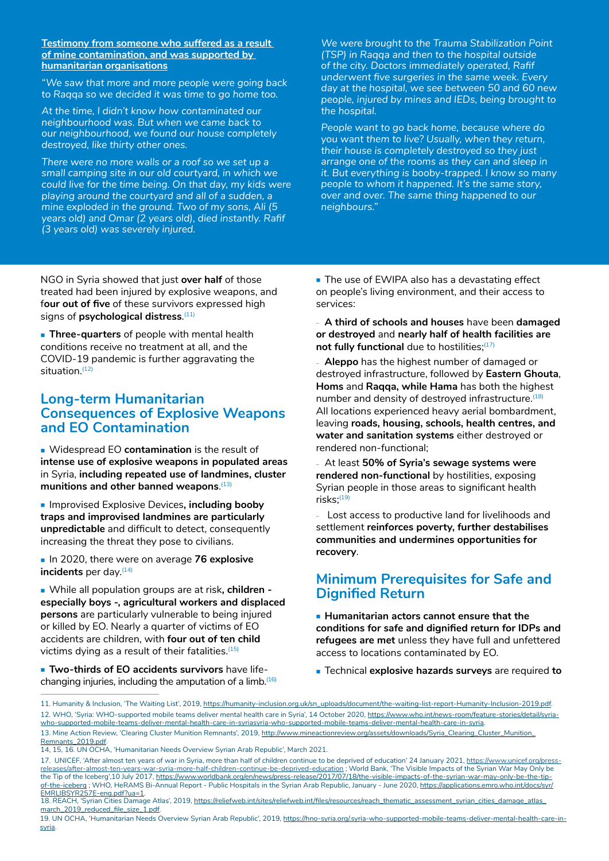### **Testimony from someone who suffered as a result of mine contamination, and was supported by humanitarian organisations**

*"We saw that more and more people were going back to Raqqa so we decided it was time to go home too.* 

*At the time, I didn't know how contaminated our neighbourhood was. But when we came back to our neighbourhood, we found our house completely destroyed, like thirty other ones.* 

*There were no more walls or a roof so we set up a small camping site in our old courtyard, in which we could live for the time being. On that day, my kids were playing around the courtyard and all of a sudden, a mine exploded in the ground. Two of my sons, Ali (5 years old) and Omar (2 years old), died instantly. Rafif (3 years old) was severely injured.* 

*We were brought to the Trauma Stabilization Point (TSP) in Raqqa and then to the hospital outside of the city. Doctors immediately operated, Rafif underwent five surgeries in the same week. Every day at the hospital, we see between 50 and 60 new people, injured by mines and IEDs, being brought to the hospital.* 

*People want to go back home, because where do you want them to live? Usually, when they return, their house is completely destroyed so they just arrange one of the rooms as they can and sleep in it. But everything is booby-trapped. I know so many people to whom it happened. It's the same story, over and over. The same thing happened to our neighbours."*

NGO in Syria showed that just **over half** of those treated had been injured by explosive weapons, and f**our out of five** of these survivors expressed high signs of **psychological distress**. (11)

**Three-quarters** of people with mental health conditions receive no treatment at all, and the COVID-19 pandemic is further aggravating the situation.<sup>(12)</sup>

# **Long-term Humanitarian Consequences of Explosive Weapons and EO Contamination**

 Widespread EO **contamination** is the result of **intense use of explosive weapons in populated areas**  in Syria, **including repeated use of landmines, cluster munitions and other banned weapons**. (13)

**Improvised Explosive Devices, including booby traps and improvised landmines are particularly unpredictable** and difficult to detect, consequently increasing the threat they pose to civilians.

■ In 2020, there were on average 76 explosive **incidents** per day.<sup>(14)</sup>

 While all population groups are at risk**, children especially boys -, agricultural workers and displaced persons** are particularly vulnerable to being injured or killed by EO. Nearly a quarter of victims of EO accidents are children, with **four out of ten child**  victims dying as a result of their fatalities. $(15)$ 

 **Two-thirds of EO accidents survivors** have lifechanging injuries, including the amputation of a limb.<sup>(16)</sup> The use of EWIPA also has a devastating effect on people's living environment, and their access to services:

– **A third of schools and houses** have been **damaged or destroyed** and **nearly half of health facilities are**  not fully functional due to hostilities;<sup>(17)</sup>

– **Aleppo** has the highest number of damaged or destroyed infrastructure, followed by **Eastern Ghouta**, **Homs** and **Raqqa, while Hama** has both the highest number and density of destroyed infrastructure.<sup>(18)</sup> All locations experienced heavy aerial bombardment, leaving **roads, housing, schools, health centres, and water and sanitation systems** either destroyed or rendered non-functional;

– At least **50% of Syria's sewage systems were rendered non-functional** by hostilities, exposing Syrian people in those areas to significant health  $risks$ ; $(19)$ 

Lost access to productive land for livelihoods and settlement **reinforces poverty, further destabilises communities and undermines opportunities for recovery**.

# **Minimum Prerequisites for Safe and Dignified Return**

 **Humanitarian actors cannot ensure that the conditions for safe and dignified return for IDPs and refugees are met** unless they have full and unfettered access to locations contaminated by EO.

Technical **explosive hazards surveys** are required **to** 

<sup>11.</sup> Humanity & Inclusion, 'The Waiting List', 2019, [https://humanity-inclusion.org.uk/sn\\_uploads/document/the-waiting-list-report-Humanity-Inclusion-2019.pdf](https://humanity-inclusion.org.uk/sn_uploads/document/the-waiting-list-report-Humanity-Inclusion-2019.pdf). 12. WHO, 'Syria: WHO-supported mobile teams deliver mental health care in Syria', 14 October 2020, [https://www.who.int/news-room/feature-stories/detail/syria](https://www.who.int/news-room/feature-stories/detail/syria-who-supported-mobile-teams-deliver-mental-health-care-in-syria)[who-supported-mobile-teams-deliver-mental-health-care-in-syriasyria-who-supported-mobile-teams-deliver-mental-health-care-in-syria](https://www.who.int/news-room/feature-stories/detail/syria-who-supported-mobile-teams-deliver-mental-health-care-in-syria).

<sup>13.</sup> Mine Action Review, 'Clearing Cluster Munition Remnants', 2019, [http://www.mineactionreview.org/assets/downloads/Syria\\_Clearing\\_Cluster\\_Munition\\_](http://www.mineactionreview.org/assets/downloads/Syria_Clearing_Cluster_Munition_Remnants_2019.pdf) [Remnants\\_2019.pdf](http://www.mineactionreview.org/assets/downloads/Syria_Clearing_Cluster_Munition_Remnants_2019.pdf).

<sup>14, 15, 16.</sup> UN OCHA, 'Humanitarian Needs Overview Syrian Arab Republic', March 2021.

<sup>17.</sup> UNICEF, 'After almost ten years of war in Syria, more than half of children continue to be deprived of education' 24 January 2021, [https://www.unicef.org/press](https://www.unicef.org/press-releases/after-almost-ten-years-war-syria-more-half-children-continue-be-deprived-education)[releases/after-almost-ten-years-war-syria-more-half-children-continue-be-deprived-education](https://www.unicef.org/press-releases/after-almost-ten-years-war-syria-more-half-children-continue-be-deprived-education) ; World Bank, 'The Visible Impacts of the Syrian War May Only be the Tip of the Iceberg',10 July 2017, [https://www.worldbank.org/en/news/press-release/2017/07/18/the-visible-impacts-of-the-syrian-war-may-only-be-the-tip](https://www.worldbank.org/en/news/press-release/2017/07/18/the-visible-impacts-of-the-syrian-war-may)[of-the-iceberg](https://www.worldbank.org/en/news/press-release/2017/07/18/the-visible-impacts-of-the-syrian-war-may) ; WHO, HeRAMS Bi-Annual Report - Public Hospitals in the Syrian Arab Republic, January - June 2020, [https://applications.emro.who.int/docs/syr/](https://applications.emro.who.int/docs/syr/EMRLIBSYR257E-eng.pdf?ua=1) <u>[EMRLIBSYR257E-eng.pdf?ua=1](https://applications.emro.who.int/docs/syr/EMRLIBSYR257E-eng.pdf?ua=1)</u>.<br>18. REACH, 'Syrian Cities Damage Atlas', 2019, <u>[https://reliefweb.int/sites/reliefweb.int/files/resources/reach\\_thematic\\_assessment\\_syrian\\_cities\\_damage\\_atlas\\_](https://reliefweb.int/sites/reliefweb.int/files/resources/reach_thematic_assessment_syrian_cities_damage_atlas_march_2019_reduced_file_size_1.pdf)</u>

[march\\_2019\\_reduced\\_file\\_size\\_1.pdf](https://reliefweb.int/sites/reliefweb.int/files/resources/reach_thematic_assessment_syrian_cities_damage_atlas_march_2019_reduced_file_size_1.pdf).

<sup>19.</sup> UN OCHA, 'Humanitarian Needs Overview Syrian Arab Republic', 2019, [https://hno-syria.org/.](https://hno-syria.org/)[syria-who-supported-mobile-teams-deliver-mental-health-care-in](https://www.who.int/news-room/feature-stories/detail/syria-who-supported-mobile-teams-deliver-mental-health-care-in-syria)[syria.](https://www.who.int/news-room/feature-stories/detail/syria-who-supported-mobile-teams-deliver-mental-health-care-in-syria)